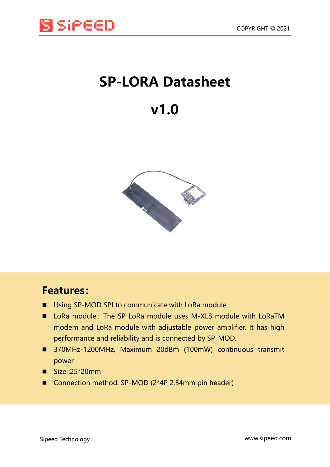

## **SP-LORA Datasheet**

## **v1.0**



## **Features:**

- Using SP-MOD SPI to communicate with LoRa module
- LoRa module: The SP LoRa module uses M-XL8 module with LoRaTM modem and LoRa module with adjustable power amplifier. It has high performance and reliability and is connected by SP\_MOD.
- 370MHz-1200MHz, Maximum 20dBm (100mW) continuous transmit power
- $\blacksquare$  Size :25\*20mm
- Connection method: SP-MOD (2\*4P 2.54mm pin header)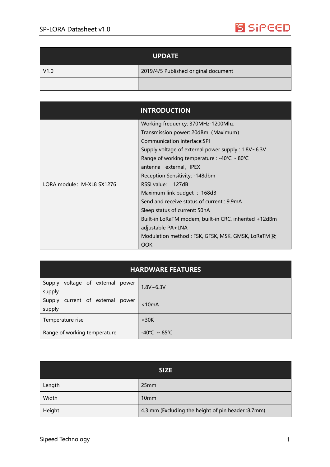

| <b>UPDATE</b> |                                      |
|---------------|--------------------------------------|
| V1.0          | 2019/4/5 Published original document |
|               |                                      |

|                           | <b>INTRODUCTION</b>                                   |
|---------------------------|-------------------------------------------------------|
|                           | Working frequency: 370MHz-1200Mhz                     |
|                           | Transmission power: 20dBm (Maximum)                   |
|                           | Communication interface:SPI                           |
|                           | Supply voltage of external power supply : 1.8V~6.3V   |
|                           | Range of working temperature : -40℃ - 80℃             |
|                           | antenna external, IPEX                                |
|                           | Reception Sensitivity: -148dbm                        |
| LORA module: M-XL8 SX1276 | RSSI value: 127dB                                     |
|                           | Maximum link budget : 168dB                           |
|                           | Send and receive status of current : 9.9mA            |
|                           | Sleep status of current: 50nA                         |
|                           | Built-in LoRaTM modem, built-in CRC, inherited +12dBm |
|                           | adjustable PA+LNA                                     |
|                           | Modulation method : FSK, GFSK, MSK, GMSK, LoRaTM 及    |
|                           | OOK                                                   |

| Supply voltage of external power<br>supply    | $1.8V - 6.3V$                     |
|-----------------------------------------------|-----------------------------------|
| current of external power<br>Supply<br>supply | < 10mA                            |
| Temperature rise                              | $<$ 30 $K$                        |
| Range of working temperature                  | $-40^{\circ}$ C ~ 85 $^{\circ}$ C |

| <b>SIZE</b> |                                                    |  |
|-------------|----------------------------------------------------|--|
| Length      | 25mm                                               |  |
| Width       | 10 <sub>mm</sub>                                   |  |
| Height      | 4.3 mm (Excluding the height of pin header :8.7mm) |  |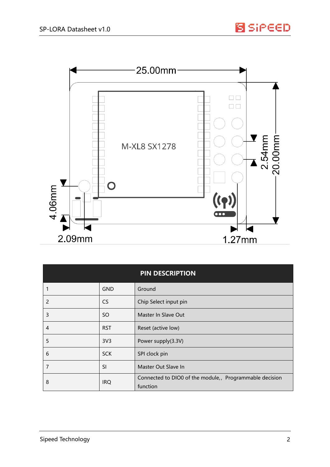

| <b>PIN DESCRIPTION</b> |                 |                                                                     |
|------------------------|-----------------|---------------------------------------------------------------------|
|                        | <b>GND</b>      | Ground                                                              |
| 2                      | <b>CS</b>       | Chip Select input pin                                               |
| 3                      | <sub>SO</sub>   | Master In Slave Out                                                 |
| 4                      | <b>RST</b>      | Reset (active low)                                                  |
| 5                      | 3V <sub>3</sub> | Power supply(3.3V)                                                  |
| 6                      | <b>SCK</b>      | SPI clock pin                                                       |
| 7                      | <b>SI</b>       | Master Out Slave In                                                 |
| 8                      | <b>IRQ</b>      | Connected to DIO0 of the module,, Programmable decision<br>function |

**S** SiPEED